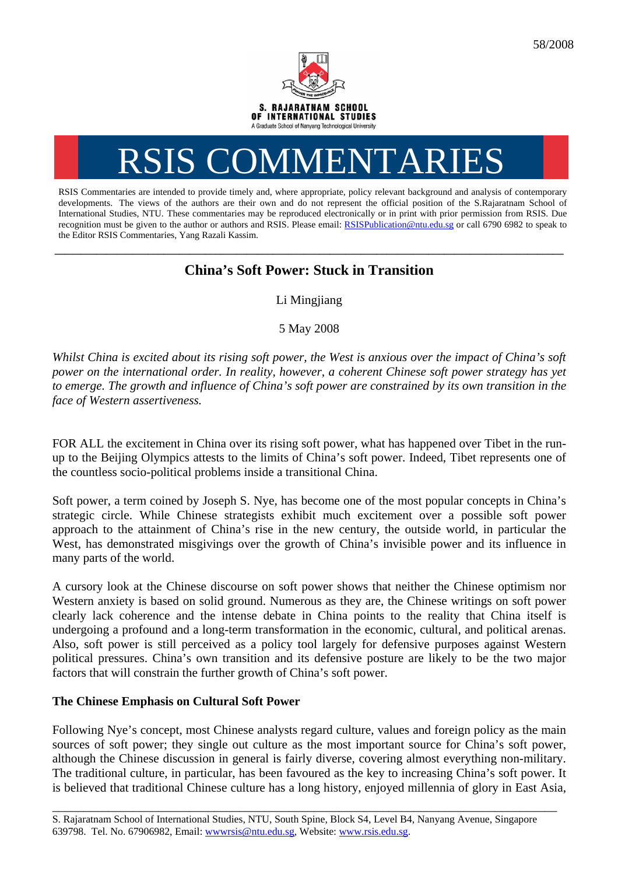

# RSIS COMMENTARIES

RSIS Commentaries are intended to provide timely and, where appropriate, policy relevant background and analysis of contemporary developments. The views of the authors are their own and do not represent the official position of the S.Rajaratnam School of International Studies, NTU. These commentaries may be reproduced electronically or in print with prior permission from RSIS. Due recognition must be given to the author or authors and RSIS. Please email: [RSISPublication@ntu.edu.sg](mailto:RSISPublication@ntu.edu.sg) or call 6790 6982 to speak to the Editor RSIS Commentaries, Yang Razali Kassim.

## **\_\_\_\_\_\_\_\_\_\_\_\_\_\_\_\_\_\_\_\_\_\_\_\_\_\_\_\_\_\_\_\_\_\_\_\_\_\_\_\_\_\_\_\_\_\_\_\_\_\_\_\_\_\_\_\_\_\_\_\_\_\_\_\_\_\_\_\_\_\_\_\_\_\_\_\_\_\_\_\_\_\_\_\_\_\_\_\_\_\_\_\_\_\_\_\_\_\_ China's Soft Power: Stuck in Transition**

Li Mingjiang

5 May 2008

*Whilst China is excited about its rising soft power, the West is anxious over the impact of China's soft power on the international order. In reality, however, a coherent Chinese soft power strategy has yet to emerge. The growth and influence of China's soft power are constrained by its own transition in the face of Western assertiveness.* 

FOR ALL the excitement in China over its rising soft power, what has happened over Tibet in the runup to the Beijing Olympics attests to the limits of China's soft power. Indeed, Tibet represents one of the countless socio-political problems inside a transitional China.

Soft power, a term coined by Joseph S. Nye, has become one of the most popular concepts in China's strategic circle. While Chinese strategists exhibit much excitement over a possible soft power approach to the attainment of China's rise in the new century, the outside world, in particular the West, has demonstrated misgivings over the growth of China's invisible power and its influence in many parts of the world.

A cursory look at the Chinese discourse on soft power shows that neither the Chinese optimism nor Western anxiety is based on solid ground. Numerous as they are, the Chinese writings on soft power clearly lack coherence and the intense debate in China points to the reality that China itself is undergoing a profound and a long-term transformation in the economic, cultural, and political arenas. Also, soft power is still perceived as a policy tool largely for defensive purposes against Western political pressures. China's own transition and its defensive posture are likely to be the two major factors that will constrain the further growth of China's soft power.

## **The Chinese Emphasis on Cultural Soft Power**

Following Nye's concept, most Chinese analysts regard culture, values and foreign policy as the main sources of soft power; they single out culture as the most important source for China's soft power, although the Chinese discussion in general is fairly diverse, covering almost everything non-military. The traditional culture, in particular, has been favoured as the key to increasing China's soft power. It is believed that traditional Chinese culture has a long history, enjoyed millennia of glory in East Asia,

\_\_\_\_\_\_\_\_\_\_\_\_\_\_\_\_\_\_\_\_\_\_\_\_\_\_\_\_\_\_\_\_\_\_\_\_\_\_\_\_\_\_\_\_\_\_\_\_\_\_\_\_\_\_\_\_\_\_\_\_\_\_\_\_\_\_\_\_\_\_\_\_\_\_\_\_\_\_\_\_\_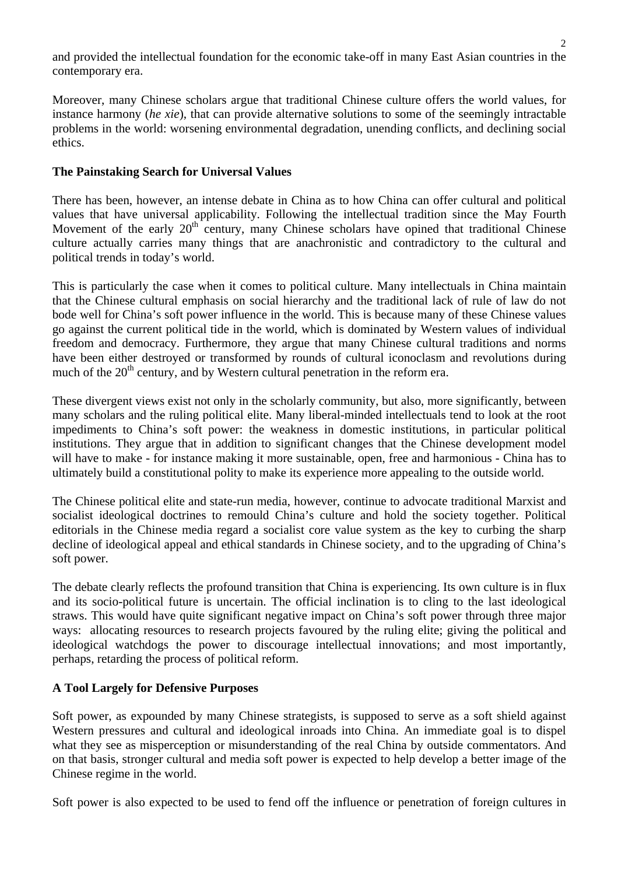and provided the intellectual foundation for the economic take-off in many East Asian countries in the contemporary era.

Moreover, many Chinese scholars argue that traditional Chinese culture offers the world values, for instance harmony (*he xie*), that can provide alternative solutions to some of the seemingly intractable problems in the world: worsening environmental degradation, unending conflicts, and declining social ethics.

#### **The Painstaking Search for Universal Values**

There has been, however, an intense debate in China as to how China can offer cultural and political values that have universal applicability. Following the intellectual tradition since the May Fourth Movement of the early 20<sup>th</sup> century, many Chinese scholars have opined that traditional Chinese culture actually carries many things that are anachronistic and contradictory to the cultural and political trends in today's world.

This is particularly the case when it comes to political culture. Many intellectuals in China maintain that the Chinese cultural emphasis on social hierarchy and the traditional lack of rule of law do not bode well for China's soft power influence in the world. This is because many of these Chinese values go against the current political tide in the world, which is dominated by Western values of individual freedom and democracy. Furthermore, they argue that many Chinese cultural traditions and norms have been either destroyed or transformed by rounds of cultural iconoclasm and revolutions during much of the  $20<sup>th</sup>$  century, and by Western cultural penetration in the reform era.

These divergent views exist not only in the scholarly community, but also, more significantly, between many scholars and the ruling political elite. Many liberal-minded intellectuals tend to look at the root impediments to China's soft power: the weakness in domestic institutions, in particular political institutions. They argue that in addition to significant changes that the Chinese development model will have to make - for instance making it more sustainable, open, free and harmonious - China has to ultimately build a constitutional polity to make its experience more appealing to the outside world.

The Chinese political elite and state-run media, however, continue to advocate traditional Marxist and socialist ideological doctrines to remould China's culture and hold the society together. Political editorials in the Chinese media regard a socialist core value system as the key to curbing the sharp decline of ideological appeal and ethical standards in Chinese society, and to the upgrading of China's soft power.

The debate clearly reflects the profound transition that China is experiencing. Its own culture is in flux and its socio-political future is uncertain. The official inclination is to cling to the last ideological straws. This would have quite significant negative impact on China's soft power through three major ways: allocating resources to research projects favoured by the ruling elite; giving the political and ideological watchdogs the power to discourage intellectual innovations; and most importantly, perhaps, retarding the process of political reform.

### **A Tool Largely for Defensive Purposes**

Soft power, as expounded by many Chinese strategists, is supposed to serve as a soft shield against Western pressures and cultural and ideological inroads into China. An immediate goal is to dispel what they see as misperception or misunderstanding of the real China by outside commentators. And on that basis, stronger cultural and media soft power is expected to help develop a better image of the Chinese regime in the world.

Soft power is also expected to be used to fend off the influence or penetration of foreign cultures in